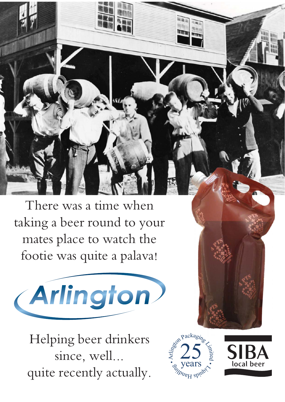There was a time when taking a beer round to your mates place to watch the footie was quite a palava!



Helping beer drinkers since, well... quite recently actually.